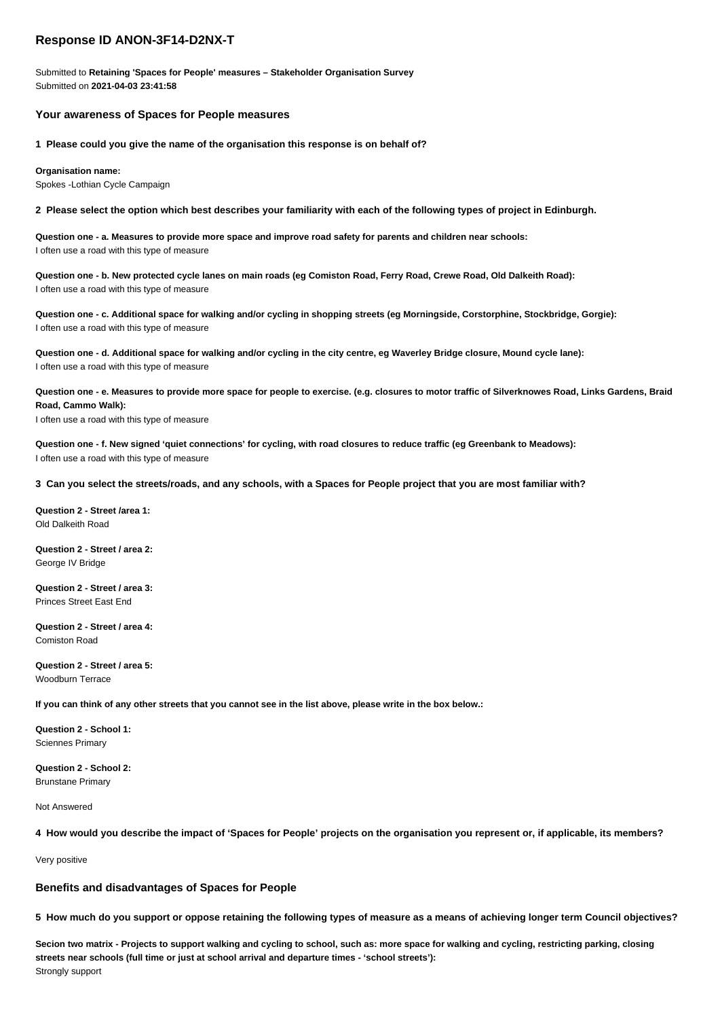# **Response ID ANON-3F14-D2NX-T**

Submitted to **Retaining 'Spaces for People' measures – Stakeholder Organisation Survey** Submitted on **2021-04-03 23:41:58**

# **Your awareness of Spaces for People measures**

**1 Please could you give the name of the organisation this response is on behalf of?**

**Organisation name:**

Spokes -Lothian Cycle Campaign

**2 Please select the option which best describes your familiarity with each of the following types of project in Edinburgh.**

**Question one - a. Measures to provide more space and improve road safety for parents and children near schools:** I often use a road with this type of measure

**Question one - b. New protected cycle lanes on main roads (eg Comiston Road, Ferry Road, Crewe Road, Old Dalkeith Road):** I often use a road with this type of measure

**Question one - c. Additional space for walking and/or cycling in shopping streets (eg Morningside, Corstorphine, Stockbridge, Gorgie):** I often use a road with this type of measure

**Question one - d. Additional space for walking and/or cycling in the city centre, eg Waverley Bridge closure, Mound cycle lane):** I often use a road with this type of measure

**Question one - e. Measures to provide more space for people to exercise. (e.g. closures to motor traffic of Silverknowes Road, Links Gardens, Braid Road, Cammo Walk):**

I often use a road with this type of measure

**Question one - f. New signed 'quiet connections' for cycling, with road closures to reduce traffic (eg Greenbank to Meadows):** I often use a road with this type of measure

**3 Can you select the streets/roads, and any schools, with a Spaces for People project that you are most familiar with?**

**Question 2 - Street /area 1:** Old Dalkeith Road

**Question 2 - Street / area 2:** George IV Bridge

**Question 2 - Street / area 3:** Princes Street East End

**Question 2 - Street / area 4:** Comiston Road

# **Question 2 - Street / area 5:**

Woodburn Terrace

**If you can think of any other streets that you cannot see in the list above, please write in the box below.:**

**Question 2 - School 1:** Sciennes Primary

**Question 2 - School 2:** Brunstane Primary

Not Answered

**4 How would you describe the impact of 'Spaces for People' projects on the organisation you represent or, if applicable, its members?**

Very positive

### **Benefits and disadvantages of Spaces for People**

**5 How much do you support or oppose retaining the following types of measure as a means of achieving longer term Council objectives?**

**Secion two matrix - Projects to support walking and cycling to school, such as: more space for walking and cycling, restricting parking, closing streets near schools (full time or just at school arrival and departure times - 'school streets'):** Strongly support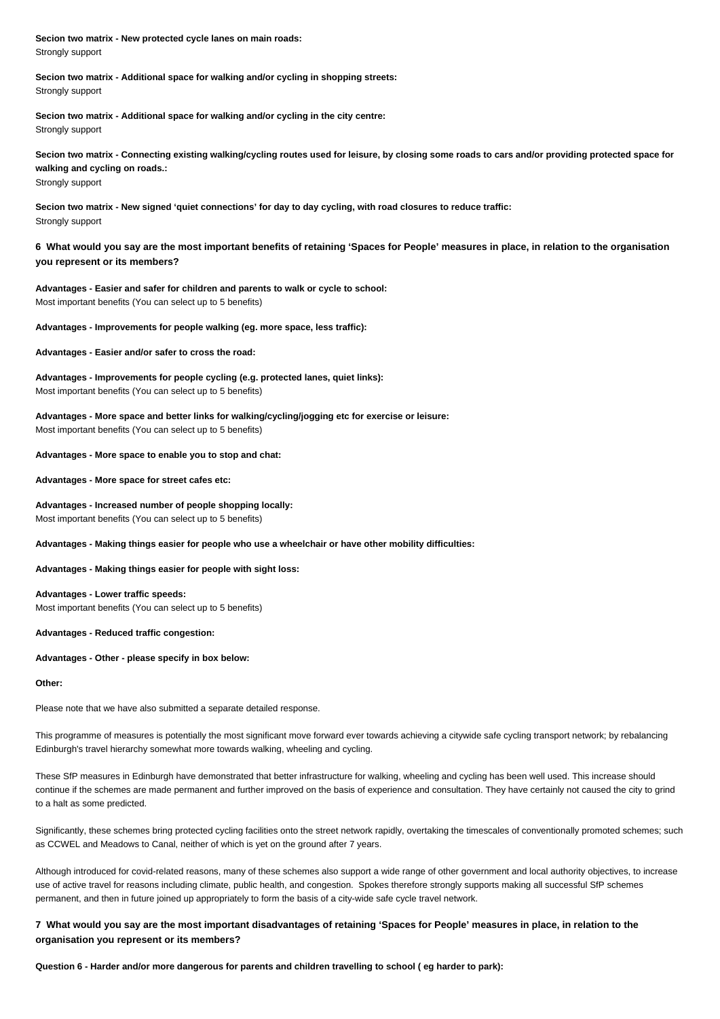**Secion two matrix - New protected cycle lanes on main roads:** Strongly support

**Secion two matrix - Additional space for walking and/or cycling in shopping streets:** Strongly support

**Secion two matrix - Additional space for walking and/or cycling in the city centre:** Strongly support

**Secion two matrix - Connecting existing walking/cycling routes used for leisure, by closing some roads to cars and/or providing protected space for walking and cycling on roads.:** Strongly support

**Secion two matrix - New signed 'quiet connections' for day to day cycling, with road closures to reduce traffic:** Strongly support

**6 What would you say are the most important benefits of retaining 'Spaces for People' measures in place, in relation to the organisation you represent or its members?**

**Advantages - Easier and safer for children and parents to walk or cycle to school:** Most important benefits (You can select up to 5 benefits)

**Advantages - Improvements for people walking (eg. more space, less traffic):**

**Advantages - Easier and/or safer to cross the road:**

**Advantages - Improvements for people cycling (e.g. protected lanes, quiet links):** Most important benefits (You can select up to 5 benefits)

**Advantages - More space and better links for walking/cycling/jogging etc for exercise or leisure:** Most important benefits (You can select up to 5 benefits)

**Advantages - More space to enable you to stop and chat:**

**Advantages - More space for street cafes etc:**

**Advantages - Increased number of people shopping locally:** Most important benefits (You can select up to 5 benefits)

**Advantages - Making things easier for people who use a wheelchair or have other mobility difficulties:**

**Advantages - Making things easier for people with sight loss:**

**Advantages - Lower traffic speeds:** Most important benefits (You can select up to 5 benefits)

**Advantages - Reduced traffic congestion:**

**Advantages - Other - please specify in box below:**

#### **Other:**

Please note that we have also submitted a separate detailed response.

This programme of measures is potentially the most significant move forward ever towards achieving a citywide safe cycling transport network; by rebalancing Edinburgh's travel hierarchy somewhat more towards walking, wheeling and cycling.

These SfP measures in Edinburgh have demonstrated that better infrastructure for walking, wheeling and cycling has been well used. This increase should continue if the schemes are made permanent and further improved on the basis of experience and consultation. They have certainly not caused the city to grind to a halt as some predicted.

Significantly, these schemes bring protected cycling facilities onto the street network rapidly, overtaking the timescales of conventionally promoted schemes; such as CCWEL and Meadows to Canal, neither of which is yet on the ground after 7 years.

Although introduced for covid-related reasons, many of these schemes also support a wide range of other government and local authority objectives, to increase use of active travel for reasons including climate, public health, and congestion. Spokes therefore strongly supports making all successful SfP schemes permanent, and then in future joined up appropriately to form the basis of a city-wide safe cycle travel network.

**7 What would you say are the most important disadvantages of retaining 'Spaces for People' measures in place, in relation to the organisation you represent or its members?**

**Question 6 - Harder and/or more dangerous for parents and children travelling to school ( eg harder to park):**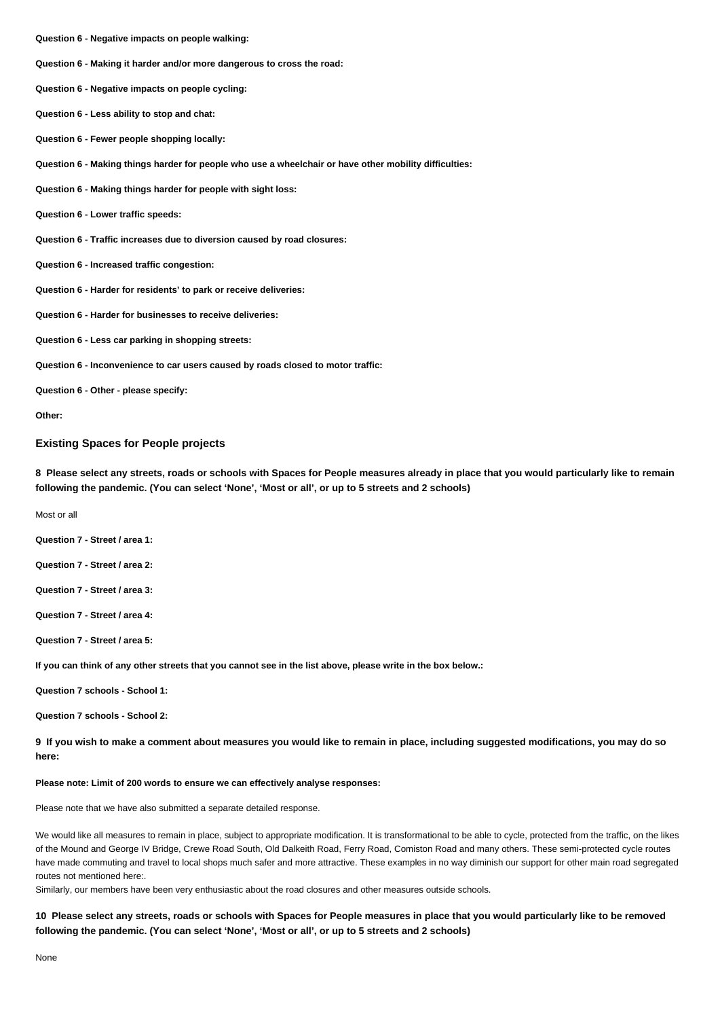- **Question 6 Negative impacts on people walking:**
- **Question 6 Making it harder and/or more dangerous to cross the road:**

**Question 6 - Negative impacts on people cycling:**

- **Question 6 Less ability to stop and chat:**
- **Question 6 Fewer people shopping locally:**
- **Question 6 Making things harder for people who use a wheelchair or have other mobility difficulties:**
- **Question 6 Making things harder for people with sight loss:**
- **Question 6 Lower traffic speeds:**
- **Question 6 Traffic increases due to diversion caused by road closures:**
- **Question 6 Increased traffic congestion:**
- **Question 6 Harder for residents' to park or receive deliveries:**
- **Question 6 Harder for businesses to receive deliveries:**
- **Question 6 Less car parking in shopping streets:**
- **Question 6 Inconvenience to car users caused by roads closed to motor traffic:**
- **Question 6 Other please specify:**
- **Other:**

### **Existing Spaces for People projects**

**8 Please select any streets, roads or schools with Spaces for People measures already in place that you would particularly like to remain following the pandemic. (You can select 'None', 'Most or all', or up to 5 streets and 2 schools)**

Most or all

- **Question 7 Street / area 1:**
- **Question 7 Street / area 2:**
- **Question 7 Street / area 3:**
- **Question 7 Street / area 4:**
- **Question 7 Street / area 5:**
- **If you can think of any other streets that you cannot see in the list above, please write in the box below.:**
- **Question 7 schools School 1:**
- **Question 7 schools School 2:**
- **9 If you wish to make a comment about measures you would like to remain in place, including suggested modifications, you may do so here:**

#### **Please note: Limit of 200 words to ensure we can effectively analyse responses:**

- Please note that we have also submitted a separate detailed response.
- We would like all measures to remain in place, subject to appropriate modification. It is transformational to be able to cycle, protected from the traffic, on the likes of the Mound and George IV Bridge, Crewe Road South, Old Dalkeith Road, Ferry Road, Comiston Road and many others. These semi-protected cycle routes have made commuting and travel to local shops much safer and more attractive. These examples in no way diminish our support for other main road segregated routes not mentioned here:.
- Similarly, our members have been very enthusiastic about the road closures and other measures outside schools.
- **10 Please select any streets, roads or schools with Spaces for People measures in place that you would particularly like to be removed following the pandemic. (You can select 'None', 'Most or all', or up to 5 streets and 2 schools)**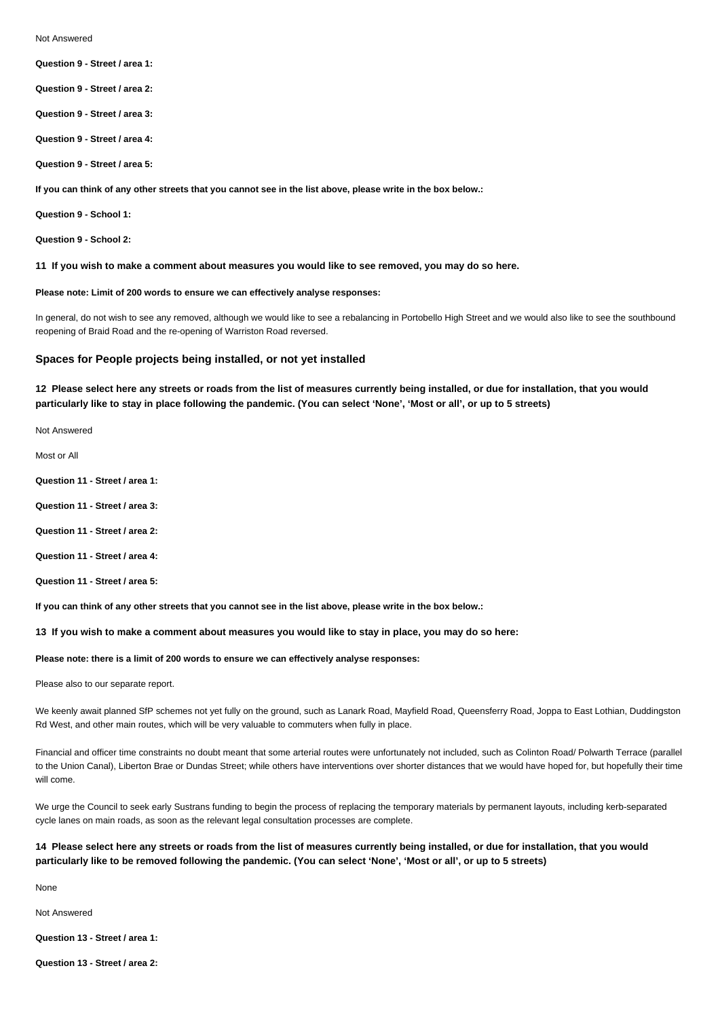Not Answered

- **Question 9 Street / area 1:**
- **Question 9 Street / area 2:**
- **Question 9 Street / area 3:**
- **Question 9 Street / area 4:**
- **Question 9 Street / area 5:**
- **If you can think of any other streets that you cannot see in the list above, please write in the box below.:**
- **Question 9 School 1:**
- **Question 9 School 2:**
- **11 If you wish to make a comment about measures you would like to see removed, you may do so here.**

### **Please note: Limit of 200 words to ensure we can effectively analyse responses:**

In general, do not wish to see any removed, although we would like to see a rebalancing in Portobello High Street and we would also like to see the southbound reopening of Braid Road and the re-opening of Warriston Road reversed.

#### **Spaces for People projects being installed, or not yet installed**

**12 Please select here any streets or roads from the list of measures currently being installed, or due for installation, that you would particularly like to stay in place following the pandemic. (You can select 'None', 'Most or all', or up to 5 streets)**

- Not Answered
- Most or All
- **Question 11 Street / area 1:**
- **Question 11 Street / area 3:**
- **Question 11 Street / area 2:**
- **Question 11 Street / area 4:**
- **Question 11 Street / area 5:**
- **If you can think of any other streets that you cannot see in the list above, please write in the box below.:**
- **13 If you wish to make a comment about measures you would like to stay in place, you may do so here:**

#### **Please note: there is a limit of 200 words to ensure we can effectively analyse responses:**

- Please also to our separate report.
- We keenly await planned SfP schemes not yet fully on the ground, such as Lanark Road, Mayfield Road, Queensferry Road, Joppa to East Lothian, Duddingston Rd West, and other main routes, which will be very valuable to commuters when fully in place.
- Financial and officer time constraints no doubt meant that some arterial routes were unfortunately not included, such as Colinton Road/ Polwarth Terrace (parallel to the Union Canal), Liberton Brae or Dundas Street; while others have interventions over shorter distances that we would have hoped for, but hopefully their time will come.
- We urge the Council to seek early Sustrans funding to begin the process of replacing the temporary materials by permanent layouts, including kerb-separated cycle lanes on main roads, as soon as the relevant legal consultation processes are complete.

## **14 Please select here any streets or roads from the list of measures currently being installed, or due for installation, that you would particularly like to be removed following the pandemic. (You can select 'None', 'Most or all', or up to 5 streets)**

None

Not Answered

**Question 13 - Street / area 1:**

**Question 13 - Street / area 2:**